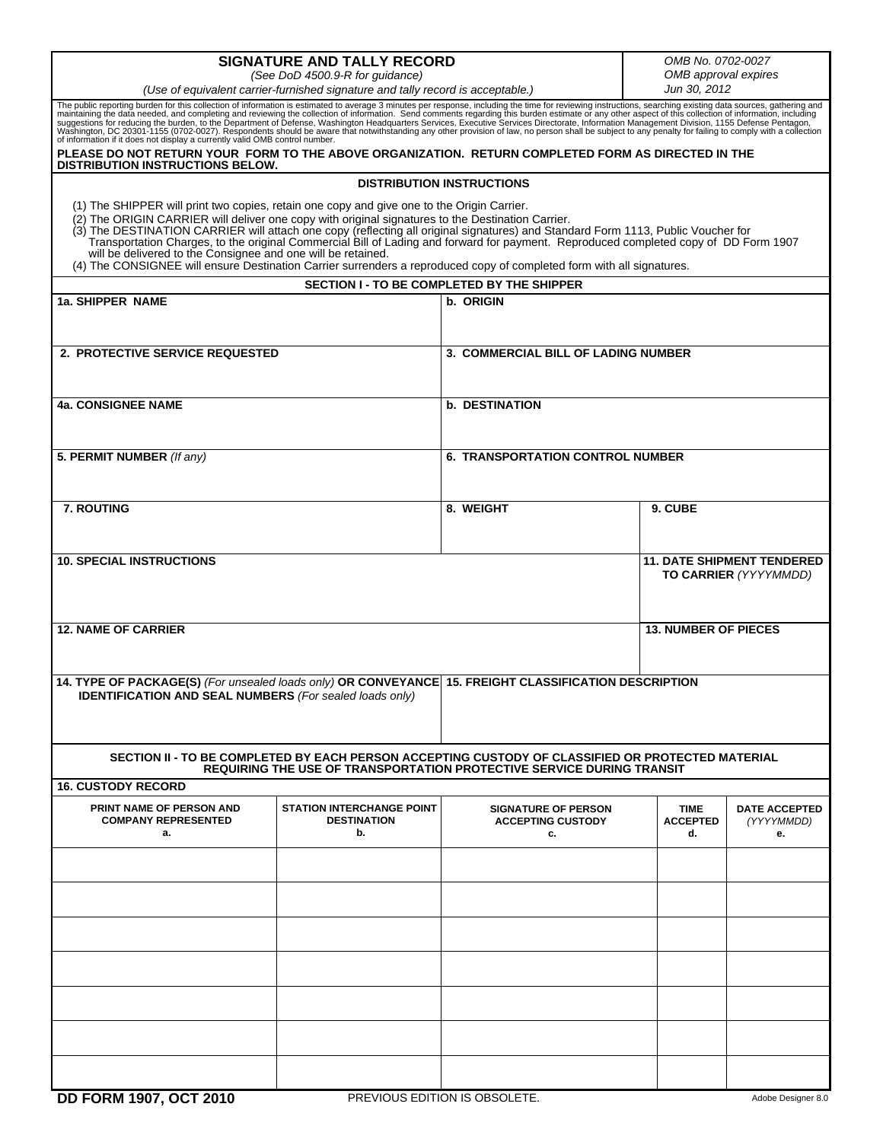| <b>SIGNATURE AND TALLY RECORD</b>                                                                                                                                                                                                                                                                                                                                                                                                                                                                                                                                                                                                                                    |                                                              |                                                                                                                                                                            |                                      | OMB No. 0702-0027                        |  |  |  |
|----------------------------------------------------------------------------------------------------------------------------------------------------------------------------------------------------------------------------------------------------------------------------------------------------------------------------------------------------------------------------------------------------------------------------------------------------------------------------------------------------------------------------------------------------------------------------------------------------------------------------------------------------------------------|--------------------------------------------------------------|----------------------------------------------------------------------------------------------------------------------------------------------------------------------------|--------------------------------------|------------------------------------------|--|--|--|
| (See DoD 4500.9-R for guidance)<br>(Use of equivalent carrier-furnished signature and tally record is acceptable.)                                                                                                                                                                                                                                                                                                                                                                                                                                                                                                                                                   |                                                              |                                                                                                                                                                            | OMB approval expires<br>Jun 30, 2012 |                                          |  |  |  |
| The public reporting burden for this collection of information is estimated to average 3 minutes per response, including the time for reviewing instructions, searching existing data sources, gathering and maintaining the d                                                                                                                                                                                                                                                                                                                                                                                                                                       |                                                              |                                                                                                                                                                            |                                      |                                          |  |  |  |
| PLEASE DO NOT RETURN YOUR FORM TO THE ABOVE ORGANIZATION. RETURN COMPLETED FORM AS DIRECTED IN THE                                                                                                                                                                                                                                                                                                                                                                                                                                                                                                                                                                   |                                                              |                                                                                                                                                                            |                                      |                                          |  |  |  |
| <b>DISTRIBUTION INSTRUCTIONS BELOW.</b><br><b>DISTRIBUTION INSTRUCTIONS</b>                                                                                                                                                                                                                                                                                                                                                                                                                                                                                                                                                                                          |                                                              |                                                                                                                                                                            |                                      |                                          |  |  |  |
| (1) The SHIPPER will print two copies, retain one copy and give one to the Origin Carrier.<br>(2) The ORIGIN CARRIER will deliver one copy with original signatures to the Destination Carrier.<br>(3) The DESTINATION CARRIER will attach one copy (reflecting all original signatures) and Standard Form 1113, Public Voucher for<br>Transportation Charges, to the original Commercial Bill of Lading and forward for payment. Reproduced completed copy of DD Form 1907<br>will be delivered to the Consignee and one will be retained.<br>(4) The CONSIGNEE will ensure Destination Carrier surrenders a reproduced copy of completed form with all signatures. |                                                              |                                                                                                                                                                            |                                      |                                          |  |  |  |
|                                                                                                                                                                                                                                                                                                                                                                                                                                                                                                                                                                                                                                                                      | SECTION I - TO BE COMPLETED BY THE SHIPPER                   |                                                                                                                                                                            |                                      |                                          |  |  |  |
| 1a. SHIPPER NAME                                                                                                                                                                                                                                                                                                                                                                                                                                                                                                                                                                                                                                                     |                                                              | b. ORIGIN                                                                                                                                                                  |                                      |                                          |  |  |  |
| 2. PROTECTIVE SERVICE REQUESTED                                                                                                                                                                                                                                                                                                                                                                                                                                                                                                                                                                                                                                      |                                                              | <b>3. COMMERCIAL BILL OF LADING NUMBER</b>                                                                                                                                 |                                      |                                          |  |  |  |
| <b>4a. CONSIGNEE NAME</b>                                                                                                                                                                                                                                                                                                                                                                                                                                                                                                                                                                                                                                            |                                                              | <b>b. DESTINATION</b>                                                                                                                                                      |                                      |                                          |  |  |  |
| 5. PERMIT NUMBER (If any)                                                                                                                                                                                                                                                                                                                                                                                                                                                                                                                                                                                                                                            |                                                              | <b>6. TRANSPORTATION CONTROL NUMBER</b>                                                                                                                                    |                                      |                                          |  |  |  |
| 7. ROUTING                                                                                                                                                                                                                                                                                                                                                                                                                                                                                                                                                                                                                                                           |                                                              | 8. WEIGHT                                                                                                                                                                  | 9. CUBE                              |                                          |  |  |  |
| <b>10. SPECIAL INSTRUCTIONS</b>                                                                                                                                                                                                                                                                                                                                                                                                                                                                                                                                                                                                                                      |                                                              | <b>11. DATE SHIPMENT TENDERED</b><br>TO CARRIER (YYYYMMDD)                                                                                                                 |                                      |                                          |  |  |  |
| <b>12. NAME OF CARRIER</b>                                                                                                                                                                                                                                                                                                                                                                                                                                                                                                                                                                                                                                           |                                                              | <b>13. NUMBER OF PIECES</b>                                                                                                                                                |                                      |                                          |  |  |  |
| 14. TYPE OF PACKAGE(S) (For unsealed loads only) OR CONVEYANCE 15. FREIGHT CLASSIFICATION DESCRIPTION<br><b>IDENTIFICATION AND SEAL NUMBERS</b> (For sealed loads only)                                                                                                                                                                                                                                                                                                                                                                                                                                                                                              |                                                              |                                                                                                                                                                            |                                      |                                          |  |  |  |
|                                                                                                                                                                                                                                                                                                                                                                                                                                                                                                                                                                                                                                                                      |                                                              | SECTION II - TO BE COMPLETED BY EACH PERSON ACCEPTING CUSTODY OF CLASSIFIED OR PROTECTED MATERIAL<br>REQUIRING THE USE OF TRANSPORTATION PROTECTIVE SERVICE DURING TRANSIT |                                      |                                          |  |  |  |
| <b>16. CUSTODY RECORD</b>                                                                                                                                                                                                                                                                                                                                                                                                                                                                                                                                                                                                                                            |                                                              |                                                                                                                                                                            |                                      |                                          |  |  |  |
| PRINT NAME OF PERSON AND<br><b>COMPANY REPRESENTED</b><br>a.                                                                                                                                                                                                                                                                                                                                                                                                                                                                                                                                                                                                         | <b>STATION INTERCHANGE POINT</b><br><b>DESTINATION</b><br>b. | <b>SIGNATURE OF PERSON</b><br><b>ACCEPTING CUSTODY</b><br>c.                                                                                                               | <b>TIME</b><br><b>ACCEPTED</b><br>d. | <b>DATE ACCEPTED</b><br>(YYYYMMDD)<br>е. |  |  |  |
|                                                                                                                                                                                                                                                                                                                                                                                                                                                                                                                                                                                                                                                                      |                                                              |                                                                                                                                                                            |                                      |                                          |  |  |  |
|                                                                                                                                                                                                                                                                                                                                                                                                                                                                                                                                                                                                                                                                      |                                                              |                                                                                                                                                                            |                                      |                                          |  |  |  |
|                                                                                                                                                                                                                                                                                                                                                                                                                                                                                                                                                                                                                                                                      |                                                              |                                                                                                                                                                            |                                      |                                          |  |  |  |
|                                                                                                                                                                                                                                                                                                                                                                                                                                                                                                                                                                                                                                                                      |                                                              |                                                                                                                                                                            |                                      |                                          |  |  |  |
|                                                                                                                                                                                                                                                                                                                                                                                                                                                                                                                                                                                                                                                                      |                                                              |                                                                                                                                                                            |                                      |                                          |  |  |  |
|                                                                                                                                                                                                                                                                                                                                                                                                                                                                                                                                                                                                                                                                      |                                                              |                                                                                                                                                                            |                                      |                                          |  |  |  |